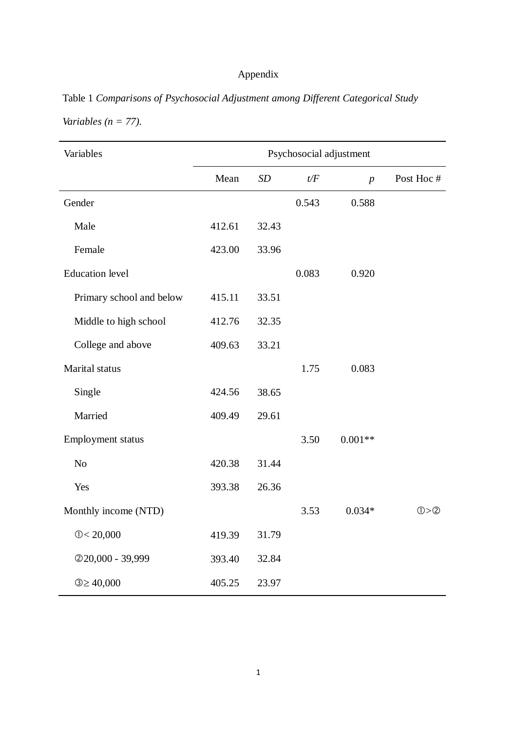## Appendix

| Table 1 Comparisons of Psychosocial Adjustment among Different Categorical Study |  |  |  |
|----------------------------------------------------------------------------------|--|--|--|
| Variables ( $n = 77$ ).                                                          |  |  |  |

| Variables                | Psychosocial adjustment |       |       |                  |           |  |  |
|--------------------------|-------------------------|-------|-------|------------------|-----------|--|--|
|                          | Mean                    | SD    | t/F   | $\boldsymbol{p}$ | Post Hoc# |  |  |
| Gender                   |                         |       | 0.543 | 0.588            |           |  |  |
| Male                     | 412.61                  | 32.43 |       |                  |           |  |  |
| Female                   | 423.00                  | 33.96 |       |                  |           |  |  |
| <b>Education</b> level   |                         |       | 0.083 | 0.920            |           |  |  |
| Primary school and below | 415.11                  | 33.51 |       |                  |           |  |  |
| Middle to high school    | 412.76                  | 32.35 |       |                  |           |  |  |
| College and above        | 409.63                  | 33.21 |       |                  |           |  |  |
| Marital status           |                         |       | 1.75  | 0.083            |           |  |  |
| Single                   | 424.56                  | 38.65 |       |                  |           |  |  |
| Married                  | 409.49                  | 29.61 |       |                  |           |  |  |
| Employment status        |                         |       | 3.50  | $0.001**$        |           |  |  |
| N <sub>o</sub>           | 420.38                  | 31.44 |       |                  |           |  |  |
| Yes                      | 393.38                  | 26.36 |       |                  |           |  |  |
| Monthly income (NTD)     |                         |       | 3.53  | $0.034*$         | 0>0       |  |  |
| 0 < 20,000               | 419.39                  | 31.79 |       |                  |           |  |  |
| 220,000 - 39,999         | 393.40                  | 32.84 |       |                  |           |  |  |
| $3 \ge 40,000$           | 405.25                  | 23.97 |       |                  |           |  |  |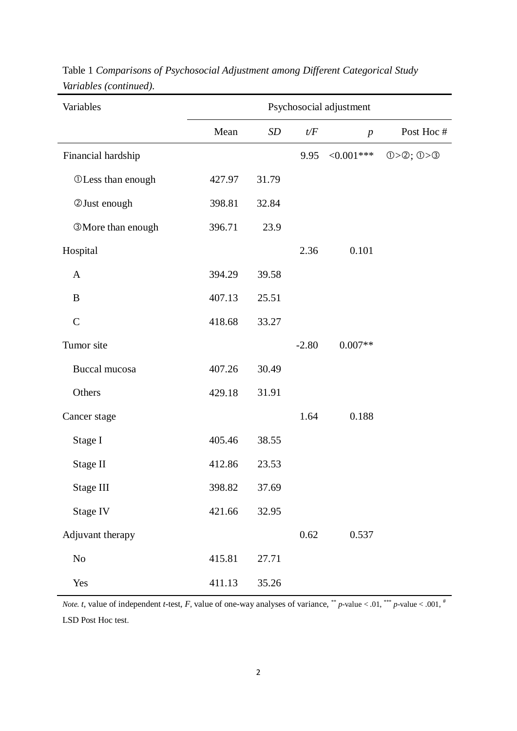| Variables                | Psychosocial adjustment |                   |         |                |               |  |
|--------------------------|-------------------------|-------------------|---------|----------------|---------------|--|
|                          | Mean                    | $\boldsymbol{SD}$ | t/F     | $\overline{p}$ | Post Hoc#     |  |
| Financial hardship       |                         |                   | 9.95    | $<0.001***$    | $0>0$ ; $0>0$ |  |
| <b>OLess than enough</b> | 427.97                  | 31.79             |         |                |               |  |
| <b>2Just enough</b>      | 398.81                  | 32.84             |         |                |               |  |
| <b>3More than enough</b> | 396.71                  | 23.9              |         |                |               |  |
| Hospital                 |                         |                   | 2.36    | 0.101          |               |  |
| $\mathbf{A}$             | 394.29                  | 39.58             |         |                |               |  |
| B                        | 407.13                  | 25.51             |         |                |               |  |
| $\mathcal{C}$            | 418.68                  | 33.27             |         |                |               |  |
| Tumor site               |                         |                   | $-2.80$ | $0.007**$      |               |  |
| Buccal mucosa            | 407.26                  | 30.49             |         |                |               |  |
| Others                   | 429.18                  | 31.91             |         |                |               |  |
| Cancer stage             |                         |                   | 1.64    | 0.188          |               |  |
| Stage I                  | 405.46                  | 38.55             |         |                |               |  |
| Stage II                 | 412.86                  | 23.53             |         |                |               |  |
| Stage III                | 398.82                  | 37.69             |         |                |               |  |
| Stage IV                 | 421.66                  | 32.95             |         |                |               |  |
| Adjuvant therapy         |                         |                   | 0.62    | 0.537          |               |  |
| No                       | 415.81                  | 27.71             |         |                |               |  |
| Yes                      | 411.13                  | 35.26             |         |                |               |  |

Table 1 *Comparisons of Psychosocial Adjustment among Different Categorical Study Variables (continued).*

*Note. t*, value of independent *t*-test, *F*, value of one-way analyses of variance, \*\* *p*-value < .01, \*\*\* *p*-value < .001, \* LSD Post Hoc test.